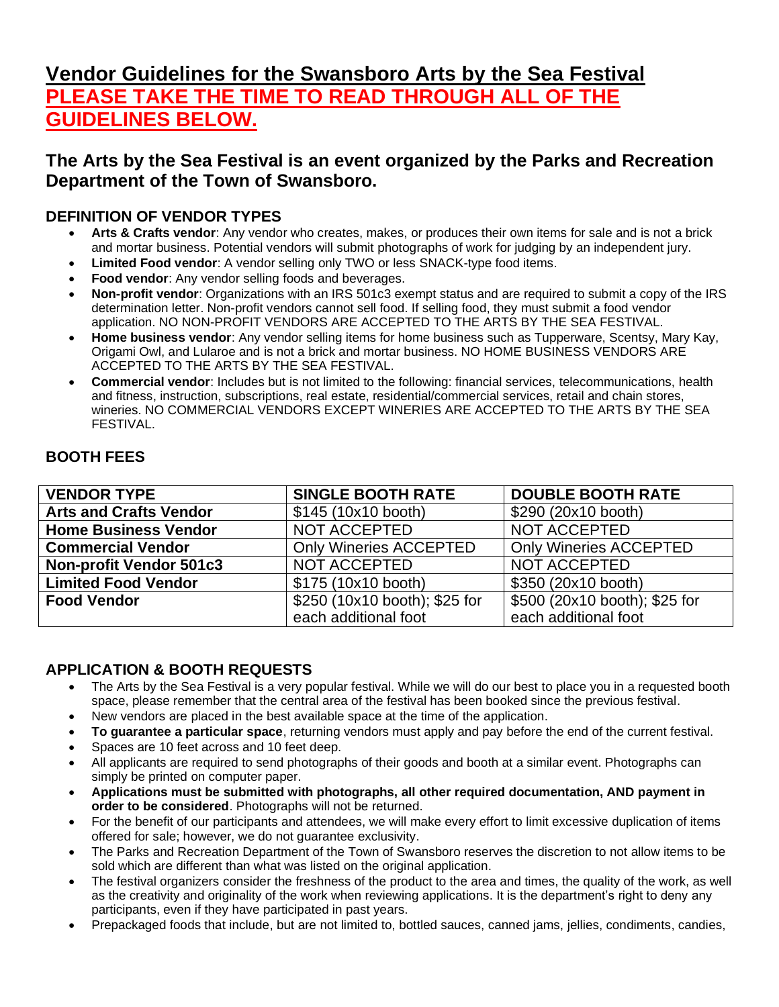# **Vendor Guidelines for the Swansboro Arts by the Sea Festival PLEASE TAKE THE TIME TO READ THROUGH ALL OF THE GUIDELINES BELOW.**

# **The Arts by the Sea Festival is an event organized by the Parks and Recreation Department of the Town of Swansboro.**

# **DEFINITION OF VENDOR TYPES**

- **Arts & Crafts vendor**: Any vendor who creates, makes, or produces their own items for sale and is not a brick and mortar business. Potential vendors will submit photographs of work for judging by an independent jury.
- **Limited Food vendor**: A vendor selling only TWO or less SNACK-type food items.
- **Food vendor:** Any vendor selling foods and beverages.
- **Non-profit vendor**: Organizations with an IRS 501c3 exempt status and are required to submit a copy of the IRS determination letter. Non-profit vendors cannot sell food. If selling food, they must submit a food vendor application. NO NON-PROFIT VENDORS ARE ACCEPTED TO THE ARTS BY THE SEA FESTIVAL.
- **Home business vendor**: Any vendor selling items for home business such as Tupperware, Scentsy, Mary Kay, Origami Owl, and Lularoe and is not a brick and mortar business. NO HOME BUSINESS VENDORS ARE ACCEPTED TO THE ARTS BY THE SEA FESTIVAL.
- **Commercial vendor**: Includes but is not limited to the following: financial services, telecommunications, health and fitness, instruction, subscriptions, real estate, residential/commercial services, retail and chain stores, wineries. NO COMMERCIAL VENDORS EXCEPT WINERIES ARE ACCEPTED TO THE ARTS BY THE SEA **FFSTIVAL**

# **BOOTH FEES**

| <b>VENDOR TYPE</b>             | <b>SINGLE BOOTH RATE</b>      | <b>DOUBLE BOOTH RATE</b>      |
|--------------------------------|-------------------------------|-------------------------------|
| <b>Arts and Crafts Vendor</b>  | \$145 (10x10 booth)           | \$290 (20x10 booth)           |
| <b>Home Business Vendor</b>    | NOT ACCEPTED                  | NOT ACCEPTED                  |
| <b>Commercial Vendor</b>       | <b>Only Wineries ACCEPTED</b> | <b>Only Wineries ACCEPTED</b> |
| <b>Non-profit Vendor 501c3</b> | NOT ACCEPTED                  | NOT ACCEPTED                  |
| <b>Limited Food Vendor</b>     | \$175 (10x10 booth)           | \$350 (20x10 booth)           |
| <b>Food Vendor</b>             | \$250 (10x10 booth); \$25 for | \$500 (20x10 booth); \$25 for |
|                                | each additional foot          | each additional foot          |

# **APPLICATION & BOOTH REQUESTS**

- The Arts by the Sea Festival is a very popular festival. While we will do our best to place you in a requested booth space, please remember that the central area of the festival has been booked since the previous festival.
- New vendors are placed in the best available space at the time of the application.
- **To guarantee a particular space**, returning vendors must apply and pay before the end of the current festival.
- Spaces are 10 feet across and 10 feet deep.
- All applicants are required to send photographs of their goods and booth at a similar event. Photographs can simply be printed on computer paper.
- **Applications must be submitted with photographs, all other required documentation, AND payment in order to be considered**. Photographs will not be returned.
- For the benefit of our participants and attendees, we will make every effort to limit excessive duplication of items offered for sale; however, we do not guarantee exclusivity.
- The Parks and Recreation Department of the Town of Swansboro reserves the discretion to not allow items to be sold which are different than what was listed on the original application.
- The festival organizers consider the freshness of the product to the area and times, the quality of the work, as well as the creativity and originality of the work when reviewing applications. It is the department's right to deny any participants, even if they have participated in past years.
- Prepackaged foods that include, but are not limited to, bottled sauces, canned jams, jellies, condiments, candies,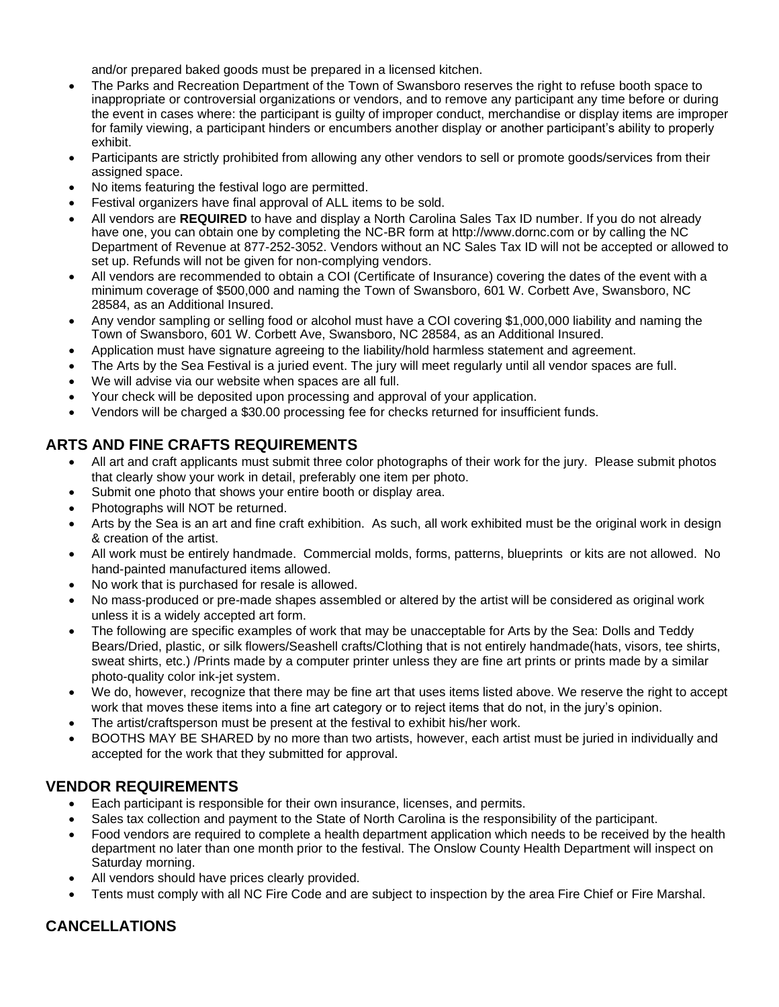and/or prepared baked goods must be prepared in a licensed kitchen.

- The Parks and Recreation Department of the Town of Swansboro reserves the right to refuse booth space to inappropriate or controversial organizations or vendors, and to remove any participant any time before or during the event in cases where: the participant is guilty of improper conduct, merchandise or display items are improper for family viewing, a participant hinders or encumbers another display or another participant's ability to properly exhibit.
- Participants are strictly prohibited from allowing any other vendors to sell or promote goods/services from their assigned space.
- No items featuring the festival logo are permitted.
- Festival organizers have final approval of ALL items to be sold.
- All vendors are **REQUIRED** to have and display a North Carolina Sales Tax ID number. If you do not already have one, you can obtain one by completing the NC-BR form at [http://www.dornc.com](http://www.dornc.com/) or by calling the NC Department of Revenue at 877-252-3052. Vendors without an NC Sales Tax ID will not be accepted or allowed to set up. Refunds will not be given for non-complying vendors.
- All vendors are recommended to obtain a COI (Certificate of Insurance) covering the dates of the event with a minimum coverage of \$500,000 and naming the Town of Swansboro, 601 W. Corbett Ave, Swansboro, NC 28584, as an Additional Insured.
- Any vendor sampling or selling food or alcohol must have a COI covering \$1,000,000 liability and naming the Town of Swansboro, 601 W. Corbett Ave, Swansboro, NC 28584, as an Additional Insured.
- Application must have signature agreeing to the liability/hold harmless statement and agreement.
- The Arts by the Sea Festival is a juried event. The jury will meet regularly until all vendor spaces are full.
- We will advise via our website when spaces are all full.
- Your check will be deposited upon processing and approval of your application.
- Vendors will be charged a \$30.00 processing fee for checks returned for insufficient funds.

### **ARTS AND FINE CRAFTS REQUIREMENTS**

- All art and craft applicants must submit three color photographs of their work for the jury. Please submit photos that clearly show your work in detail, preferably one item per photo.
- Submit one photo that shows your entire booth or display area.
- Photographs will NOT be returned.
- Arts by the Sea is an art and fine craft exhibition. As such, all work exhibited must be the original work in design & creation of the artist.
- All work must be entirely handmade. Commercial molds, forms, patterns, blueprints or kits are not allowed. No hand-painted manufactured items allowed.
- No work that is purchased for resale is allowed.
- No mass-produced or pre-made shapes assembled or altered by the artist will be considered as original work unless it is a widely accepted art form.
- The following are specific examples of work that may be unacceptable for Arts by the Sea: Dolls and Teddy Bears/Dried, plastic, or silk flowers/Seashell crafts/Clothing that is not entirely handmade(hats, visors, tee shirts, sweat shirts, etc.) /Prints made by a computer printer unless they are fine art prints or prints made by a similar photo-quality color ink-jet system.
- We do, however, recognize that there may be fine art that uses items listed above. We reserve the right to accept work that moves these items into a fine art category or to reject items that do not, in the jury's opinion.
- The artist/craftsperson must be present at the festival to exhibit his/her work.
- BOOTHS MAY BE SHARED by no more than two artists, however, each artist must be juried in individually and accepted for the work that they submitted for approval.

### **VENDOR REQUIREMENTS**

- Each participant is responsible for their own insurance, licenses, and permits.
- Sales tax collection and payment to the State of North Carolina is the responsibility of the participant.
- Food vendors are required to complete a health department application which needs to be received by the health department no later than one month prior to the festival. The Onslow County Health Department will inspect on Saturday morning.
- All vendors should have prices clearly provided.
- Tents must comply with all NC Fire Code and are subject to inspection by the area Fire Chief or Fire Marshal.

# **CANCELLATIONS**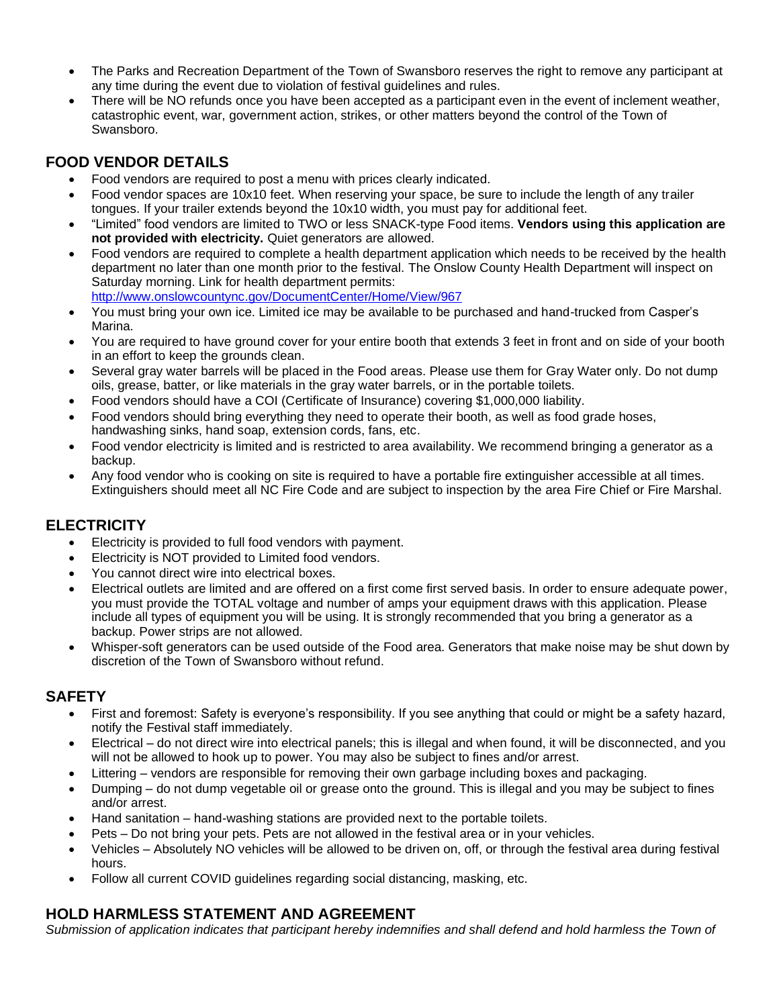- The Parks and Recreation Department of the Town of Swansboro reserves the right to remove any participant at any time during the event due to violation of festival guidelines and rules.
- There will be NO refunds once you have been accepted as a participant even in the event of inclement weather, catastrophic event, war, government action, strikes, or other matters beyond the control of the Town of Swansboro.

# **FOOD VENDOR DETAILS**

- Food vendors are required to post a menu with prices clearly indicated.
- Food vendor spaces are 10x10 feet. When reserving your space, be sure to include the length of any trailer tongues. If your trailer extends beyond the 10x10 width, you must pay for additional feet.
- "Limited" food vendors are limited to TWO or less SNACK-type Food items. **Vendors using this application are not provided with electricity.** Quiet generators are allowed.
- Food vendors are required to complete a health department application which needs to be received by the health department no later than one month prior to the festival. The Onslow County Health Department will inspect on Saturday morning. Link for health department permits: <http://www.onslowcountync.gov/DocumentCenter/Home/View/967>
- You must bring your own ice. Limited ice may be available to be purchased and hand-trucked from Casper's Marina.
- You are required to have ground cover for your entire booth that extends 3 feet in front and on side of your booth in an effort to keep the grounds clean.
- Several gray water barrels will be placed in the Food areas. Please use them for Gray Water only. Do not dump oils, grease, batter, or like materials in the gray water barrels, or in the portable toilets.
- Food vendors should have a COI (Certificate of Insurance) covering \$1,000,000 liability.
- Food vendors should bring everything they need to operate their booth, as well as food grade hoses, handwashing sinks, hand soap, extension cords, fans, etc.
- Food vendor electricity is limited and is restricted to area availability. We recommend bringing a generator as a backup.
- Any food vendor who is cooking on site is required to have a portable fire extinguisher accessible at all times. Extinguishers should meet all NC Fire Code and are subject to inspection by the area Fire Chief or Fire Marshal.

### **ELECTRICITY**

- Electricity is provided to full food vendors with payment.
- Electricity is NOT provided to Limited food vendors.
- You cannot direct wire into electrical boxes.
- Electrical outlets are limited and are offered on a first come first served basis. In order to ensure adequate power, you must provide the TOTAL voltage and number of amps your equipment draws with this application. Please include all types of equipment you will be using. It is strongly recommended that you bring a generator as a backup. Power strips are not allowed.
- Whisper-soft generators can be used outside of the Food area. Generators that make noise may be shut down by discretion of the Town of Swansboro without refund.

### **SAFETY**

- First and foremost: Safety is everyone's responsibility. If you see anything that could or might be a safety hazard, notify the Festival staff immediately.
- Electrical do not direct wire into electrical panels; this is illegal and when found, it will be disconnected, and you will not be allowed to hook up to power. You may also be subject to fines and/or arrest.
- Littering vendors are responsible for removing their own garbage including boxes and packaging.
- Dumping do not dump vegetable oil or grease onto the ground. This is illegal and you may be subject to fines and/or arrest.
- Hand sanitation hand-washing stations are provided next to the portable toilets.
- Pets Do not bring your pets. Pets are not allowed in the festival area or in your vehicles.
- Vehicles Absolutely NO vehicles will be allowed to be driven on, off, or through the festival area during festival hours.
- Follow all current COVID guidelines regarding social distancing, masking, etc.

### **HOLD HARMLESS STATEMENT AND AGREEMENT**

Submission of application indicates that participant hereby indemnifies and shall defend and hold harmless the Town of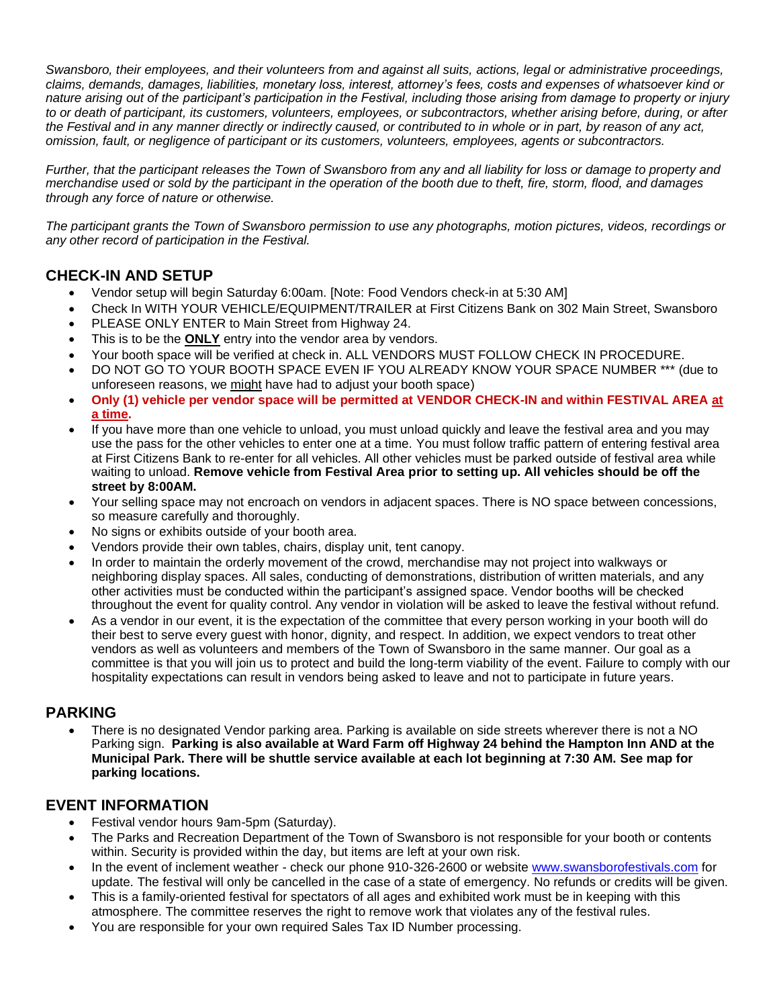*Swansboro, their employees, and their volunteers from and against all suits, actions, legal or administrative proceedings, claims, demands, damages, liabilities, monetary loss, interest, attorney's fees, costs and expenses of whatsoever kind or nature arising out of the participant's participation in the Festival, including those arising from damage to property or injury to or death of participant, its customers, volunteers, employees, or subcontractors, whether arising before, during, or after the Festival and in any manner directly or indirectly caused, or contributed to in whole or in part, by reason of any act, omission, fault, or negligence of participant or its customers, volunteers, employees, agents or subcontractors.*

*Further, that the participant releases the Town of Swansboro from any and all liability for loss or damage to property and merchandise used or sold by the participant in the operation of the booth due to theft, fire, storm, flood, and damages through any force of nature or otherwise.*

*The participant grants the Town of Swansboro permission to use any photographs, motion pictures, videos, recordings or any other record of participation in the Festival.*

### **CHECK-IN AND SETUP**

- Vendor setup will begin Saturday 6:00am. [Note: Food Vendors check-in at 5:30 AM]
- Check In WITH YOUR VEHICLE/EQUIPMENT/TRAILER at First Citizens Bank on 302 Main Street, Swansboro
- PLEASE ONLY ENTER to Main Street from Highway 24.
- This is to be the **ONLY** entry into the vendor area by vendors.
- Your booth space will be verified at check in. ALL VENDORS MUST FOLLOW CHECK IN PROCEDURE.
- DO NOT GO TO YOUR BOOTH SPACE EVEN IF YOU ALREADY KNOW YOUR SPACE NUMBER \*\*\* (due to unforeseen reasons, we might have had to adjust your booth space)
- **Only (1) vehicle per vendor space will be permitted at VENDOR CHECK-IN and within FESTIVAL AREA at a time.**
- If you have more than one vehicle to unload, you must unload quickly and leave the festival area and you may use the pass for the other vehicles to enter one at a time. You must follow traffic pattern of entering festival area at First Citizens Bank to re-enter for all vehicles. All other vehicles must be parked outside of festival area while waiting to unload. **Remove vehicle from Festival Area prior to setting up. All vehicles should be off the street by 8:00AM.**
- Your selling space may not encroach on vendors in adjacent spaces. There is NO space between concessions, so measure carefully and thoroughly.
- No signs or exhibits outside of your booth area.
- Vendors provide their own tables, chairs, display unit, tent canopy.
- In order to maintain the orderly movement of the crowd, merchandise may not project into walkways or neighboring display spaces. All sales, conducting of demonstrations, distribution of written materials, and any other activities must be conducted within the participant's assigned space. Vendor booths will be checked throughout the event for quality control. Any vendor in violation will be asked to leave the festival without refund.
- As a vendor in our event, it is the expectation of the committee that every person working in your booth will do their best to serve every guest with honor, dignity, and respect. In addition, we expect vendors to treat other vendors as well as volunteers and members of the Town of Swansboro in the same manner. Our goal as a committee is that you will join us to protect and build the long-term viability of the event. Failure to comply with our hospitality expectations can result in vendors being asked to leave and not to participate in future years.

#### **PARKING**

• There is no designated Vendor parking area. Parking is available on side streets wherever there is not a NO Parking sign. **Parking is also available at Ward Farm off Highway 24 behind the Hampton Inn AND at the Municipal Park. There will be shuttle service available at each lot beginning at 7:30 AM. See map for parking locations.**

#### **EVENT INFORMATION**

- Festival vendor hours 9am-5pm (Saturday).
- The Parks and Recreation Department of the Town of Swansboro is not responsible for your booth or contents within. Security is provided within the day, but items are left at your own risk.
- In the event of inclement weather check our phone 910-326-2600 or website [www.swansborofestivals.com](http://www.swansborofestivals.com/) for update. The festival will only be cancelled in the case of a state of emergency. No refunds or credits will be given.
- This is a family-oriented festival for spectators of all ages and exhibited work must be in keeping with this atmosphere. The committee reserves the right to remove work that violates any of the festival rules.
- You are responsible for your own required Sales Tax ID Number processing.